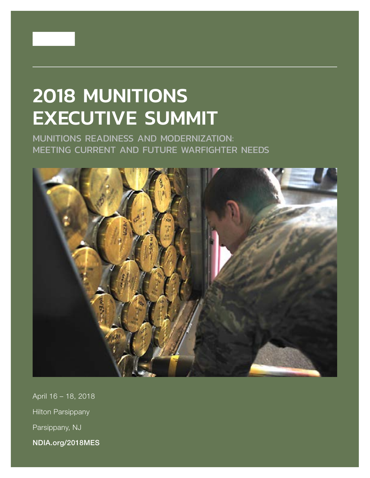

# 2018 MUNITIONS EXECUTIVE SUMMIT

MUNITIONS READINESS AND MODERNIZATION: MEETING CURRENT AND FUTURE WARFIGHTER NEEDS



April 16 – 18, 2018 Hilton Parsippany Parsippany, NJ NDIA.org/2018MES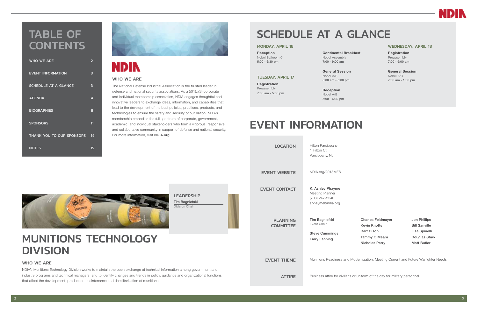

# SCHEDULE AT A GLANCE

#### MONDAY, APRIL 16

Reception Nobel Ballroom C 5:00 - 6:30 pm

TUESDAY, APRIL 17

Registration Preassembly 7:00 am - 5:00 pm Continental Breakfast Nobel Assembly 7:00 - 9:00 am

General Session Nobel A/B 8:00 am - 5:00 pm

Reception Nobel A/B 5:00 - 6:30 pm

#### WEDNESDAY, APRIL 18

Registration Preassembly 7:00 - 9:00 am

NDIA's Munitions Technology Division works to maintain the open exchange of technical information among govern industry programs and technical managers, and to identify changes and trends in policy, guidance and organizati that affect the development, production, maintenance and demilitarization of munitions.



The National Defense Industrial Association is the trusted leader in defense and national security associations. As a 501(c)(3) corporate and individual membership association, NDIA engages thoughtful and innovative leaders to exchange ideas, information, and capabilities that lead to the development of the best policies, practices, products, and technologies to ensure the safety and security of our nation. NDIA's membership embodies the full spectrum of corporate, government, academic, and individual stakeholders who form a vigorous, responsive, and collaborative community in support of defense and national security. For more information, visit **NDIA.org** 

General Session Nobel A/B 7:00 am - 1:00 pm

## MUNITIONS TECHNOLOGY DIVISION

#### WHO WE ARE

## TABLE OF **CONTENTS**

#### WHO WE ARE

| <b>WHO WE ARE</b>           | 2  |
|-----------------------------|----|
| <b>EVENT INFORMATION</b>    | 3  |
| <b>SCHEDULE AT A GLANCE</b> | 3  |
| <b>AGENDA</b>               | 4  |
| <b>BIOGRAPHIES</b>          | 8  |
| <b>SPONSORS</b>             | 11 |
| THANK YOU TO OUR SPONSORS   | 14 |
| <b>NOTES</b>                | 15 |



# **NDIN**

|                              | <b>LOCATION</b>                     | Hilton Parsippany<br>1 Hilton Ct.<br>Parsippany, NJ                            |
|------------------------------|-------------------------------------|--------------------------------------------------------------------------------|
|                              | <b>EVENT WEBSITE</b>                | NDIA.org/2018MES                                                               |
|                              | <b>EVENT CONTACT</b>                | K. Ashley Phayme<br>Meeting Planner<br>(703) 247-2540<br>aphayme@ndia.org      |
|                              | <b>PLANNING</b><br><b>COMMITTEE</b> | Tim Bagniefski<br>Event Chair<br><b>Steve Cummings</b><br><b>Larry Fanning</b> |
|                              | <b>EVENT THEME</b>                  | Munitions Readiness and Moderr                                                 |
| rnment and<br>onal functions | <b>ATTIRE</b>                       | Business attire for civilians or unit                                          |

## EVENT INFORMATION

Charles Feldmayer Kevin Knotts Bart Olson Tammy O'Meara Nicholas Perry

Jon Phillips Bill Sanville Lisa Spinelli Douglas Stark Matt Butler

nization: Meeting Current and Future Warfighter Needs

form of the day for military personnel.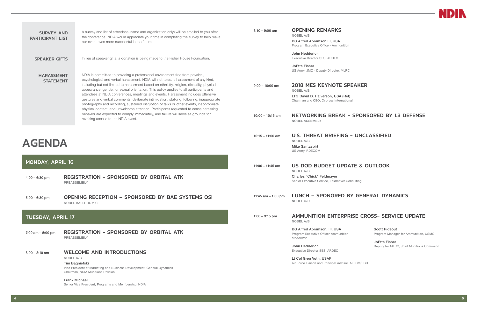

#### EAKER

### SPONSORED BY L3 DEFENSE

#### UNCLASSIFIED

## TE & OUTLOOK

nsulting

## Y GENERAL DYNAMICS

#### ISE CROSS- SERVICE UPDATE

<span id="page-2-0"></span>

| <b>SURVEY AND</b><br><b>PARTICIPANT LIST</b> | A survey and list of attendees (name and organization only) will be emailed to you after<br>the conference. NDIA would appreciate your time in completing the survey to help make<br>our event even more successful in the future.                                                                                                                                                                                                                                                                                                                                                                                                                                                                                                | $8:10 - 9:00$ am     | <b>OPENING REMARKS</b><br>NOBEL A/B<br><b>BG Alfred Abramson III, USA</b><br>Program Executive Officer- Ammunition                                                                |
|----------------------------------------------|-----------------------------------------------------------------------------------------------------------------------------------------------------------------------------------------------------------------------------------------------------------------------------------------------------------------------------------------------------------------------------------------------------------------------------------------------------------------------------------------------------------------------------------------------------------------------------------------------------------------------------------------------------------------------------------------------------------------------------------|----------------------|-----------------------------------------------------------------------------------------------------------------------------------------------------------------------------------|
| <b>SPEAKER GIFTS</b>                         | In lieu of speaker gifts, a donation is being made to the Fisher House Foundation.                                                                                                                                                                                                                                                                                                                                                                                                                                                                                                                                                                                                                                                |                      | John Hedderich<br>Executive Director SES, ARDEC                                                                                                                                   |
| <b>HARASSMENT</b><br><b>STATEMENT</b>        | NDIA is committed to providing a professional environment free from physical,<br>psychological and verbal harassment. NDIA will not tolerate harassment of any kind,<br>including but not limited to harassment based on ethnicity, religion, disability, physical<br>appearance, gender, or sexual orientation. This policy applies to all participants and<br>attendees at NDIA conferences, meetings and events. Harassment includes offensive<br>gestures and verbal comments, deliberate intimidation, stalking, following, inappropriate<br>photography and recording, sustained disruption of talks or other events, inappropriate<br>physical contact, and unwelcome attention. Participants requested to cease harassing | $9:00 - 10:00$ am    | <b>JoEtta Fisher</b><br>US Army, JMC - Deputy Director, MLRC<br>2018 MES KEYNOTE SPE<br>NOBEL A/B<br>LTG David D. Halverson, USA (Ret)<br>Chairman and CEO, Cypress International |
|                                              | behavior are expected to comply immediately, and failure will serve as grounds for<br>revoking access to the NDIA event.                                                                                                                                                                                                                                                                                                                                                                                                                                                                                                                                                                                                          | $10:00 - 10:15$ am   | <b>NETWORKING BREAK -</b><br><b>NOBEL ASSEMBLY</b>                                                                                                                                |
| <b>AGENDA</b>                                |                                                                                                                                                                                                                                                                                                                                                                                                                                                                                                                                                                                                                                                                                                                                   | $10:15 - 11:00$ am   | <b>U.S. THREAT BRIEFING -</b><br>NOBEL A/B<br><b>Mike Santaspirt</b><br>US Army, RDECOM                                                                                           |
| <b>MONDAY, APRIL 16</b>                      |                                                                                                                                                                                                                                                                                                                                                                                                                                                                                                                                                                                                                                                                                                                                   |                      |                                                                                                                                                                                   |
|                                              |                                                                                                                                                                                                                                                                                                                                                                                                                                                                                                                                                                                                                                                                                                                                   | $11:00 - 11:45$ am   | <b>US DOD BUDGET UPDAT</b>                                                                                                                                                        |
| $4:00 - 6:30$ pm                             | <b>REGISTRATION - SPONSORED BY ORBITAL ATK</b><br>PREASSEMBLY                                                                                                                                                                                                                                                                                                                                                                                                                                                                                                                                                                                                                                                                     |                      | NOBEL A/B<br><b>Charles "Chick" Feldmayer</b><br>Senior Executive Service, Feldmayer Cons                                                                                         |
| $5:00 - 6:30$ pm                             | <b>OPENING RECEPTION - SPONSORED BY BAE SYSTEMS OSI</b><br><b>NOBEL BALLROOM C</b>                                                                                                                                                                                                                                                                                                                                                                                                                                                                                                                                                                                                                                                | 11:45 am $-$ 1:00 pm | LUNCH - SPONORED BY<br>NOBEL C/D                                                                                                                                                  |
| <b>TUESDAY, APRIL 17</b>                     |                                                                                                                                                                                                                                                                                                                                                                                                                                                                                                                                                                                                                                                                                                                                   | $1:00 - 3:15$ pm     | <b>AMMUNITION ENTERPRI</b><br><b>NOBEL A/B</b>                                                                                                                                    |
| 7:00 am $-$ 5:00 pm                          | <b>REGISTRATION - SPONSORED BY ORBITAL ATK</b><br><b>PREASSEMBLY</b>                                                                                                                                                                                                                                                                                                                                                                                                                                                                                                                                                                                                                                                              |                      | <b>BG Alfred Abramson, III, USA</b><br>Program Executive Officer-Ammunition<br>Moderator                                                                                          |
| $8:00 - 8:10$ am                             | <b>WELCOME AND INTRODUCTIONS</b>                                                                                                                                                                                                                                                                                                                                                                                                                                                                                                                                                                                                                                                                                                  |                      | John Hedderich<br>Executive Director SES, ARDEC                                                                                                                                   |
|                                              | NOBEL A/B<br>Tim Bagniefski<br>Vice President of Marketing and Business Development, General Dynamics<br>Chairman, NDIA Munitions Division                                                                                                                                                                                                                                                                                                                                                                                                                                                                                                                                                                                        |                      | Lt Col Greg Voth, USAF<br>Air Force Liaison and Principal Advisor, Al                                                                                                             |

Scott Rideout Program Manager for Ammunition, USMC

JoEtta Fisher Deputy for MLRC, Joint Munitions Command

**FLCM/EBH**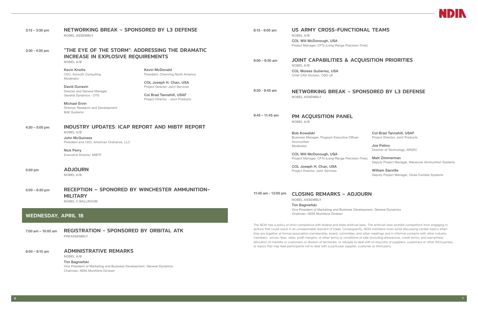| $3:15 - 3:30$ pm           | NETWORKING BREAK - SPONSORED BY L3 DEFENSE<br><b>NOBEL ASSEMBLY</b>                                                                                                         |                                                                                                  | $8:15 - 9:00$ am                                                                   | US ARMY CROSS-FUNCTIONAL TEAMS<br>NOBEL A/B<br><b>COL Will McDonough, USA</b><br>Project Manager, CFTs (Long-Range Precision Fires)                                                                                                                                                                                                                                                                                                                                                                                                                                                                                                                                |                                                                |
|----------------------------|-----------------------------------------------------------------------------------------------------------------------------------------------------------------------------|--------------------------------------------------------------------------------------------------|------------------------------------------------------------------------------------|--------------------------------------------------------------------------------------------------------------------------------------------------------------------------------------------------------------------------------------------------------------------------------------------------------------------------------------------------------------------------------------------------------------------------------------------------------------------------------------------------------------------------------------------------------------------------------------------------------------------------------------------------------------------|----------------------------------------------------------------|
| $3:30 - 4:30$ pm           | "THE EYE OF THE STORM": ADDRESSING THE DRAMATIC<br><b>INCREASE IN EXPLOSIVE REQUIREMENTS</b><br>NOBEL A/B<br><b>Kevin Knotts</b>                                            | <b>Kevin McDonald</b>                                                                            | <b>JOINT CAPABILITIES &amp; ACQUISITION PRIOR</b><br>$9:00 - 9:30$ am<br>NOBEL A/B |                                                                                                                                                                                                                                                                                                                                                                                                                                                                                                                                                                                                                                                                    |                                                                |
|                            | CEO, Azimuth Consulting<br>Moderator<br><b>David Dunavin</b>                                                                                                                | President, Chemring North America<br>COL Joseph H. Chan, USA<br>Project Director, Joint Services |                                                                                    | <b>COL Moises Gutierrez, USA</b><br>Chief CAD Division, OSD-J8                                                                                                                                                                                                                                                                                                                                                                                                                                                                                                                                                                                                     |                                                                |
|                            | Director and General Manager,<br>General Dynamics - OTS<br><b>Michael Ervin</b><br>Director, Research and Development                                                       | Col Brad Tannehill, USAF<br>Project Director - Joint Products                                    | $9:30 - 9:45$ am                                                                   | NETWORKING BREAK - SPONSORED BY L3<br><b>NOBEL ASSEMBLY</b>                                                                                                                                                                                                                                                                                                                                                                                                                                                                                                                                                                                                        |                                                                |
|                            | <b>BAE Systems</b>                                                                                                                                                          |                                                                                                  | $9:45 - 11:45$ am                                                                  | PM ACQUISITION PANEL<br>NOBEL A/B                                                                                                                                                                                                                                                                                                                                                                                                                                                                                                                                                                                                                                  |                                                                |
| $4:30 - 5:00$ pm           | <b>INDUSTRY UPDATES: ICAP REPORT AND MIBTF REPORT</b><br>NOBEL A/B<br><b>John McGuiness</b><br>President and CEO, American Ordnance, LLC                                    |                                                                                                  |                                                                                    | <b>Bob Kowalski</b><br>Business Manager, Program Executive Officer-<br>Ammunition<br>Moderator                                                                                                                                                                                                                                                                                                                                                                                                                                                                                                                                                                     | <b>Col Brad Tannehi</b><br>Project Director, Joi<br>Joe Pelino |
|                            | <b>Nick Perry</b><br><b>Executive Director, MIBTF</b>                                                                                                                       |                                                                                                  |                                                                                    | <b>COL Will McDonough, USA</b><br>Project Manager, CFTs (Long-Range Precision Fires)                                                                                                                                                                                                                                                                                                                                                                                                                                                                                                                                                                               | Director of Technold<br>Matt Zimmerman<br>Deputy Project Man   |
| 5:00 pm                    | <b>ADJOURN</b><br><b>NOBEL A/B</b>                                                                                                                                          |                                                                                                  |                                                                                    | COL Joseph H. Chan, USA<br>Project Director, Joint Services                                                                                                                                                                                                                                                                                                                                                                                                                                                                                                                                                                                                        | <b>William Sanville</b><br>Deputy Project Man                  |
| $5:00 - 6:30$ pm           | <b>RECEPTION - SPONORED BY WINCHESTER AMMUNITION-</b><br><b>MILITARY</b><br>NOBEL C BALLROOM                                                                                |                                                                                                  | 11:45 am - 12:00 pm                                                                | <b>CLOSING REMARKS - ADJOURN</b><br><b>NOBEL ASSEMBLY</b><br><b>Tim Bagniefski</b>                                                                                                                                                                                                                                                                                                                                                                                                                                                                                                                                                                                 |                                                                |
| <b>WEDNESDAY, APRIL 18</b> |                                                                                                                                                                             |                                                                                                  |                                                                                    | Vice President of Marketing and Business Development, General Dynamics<br>Chairman, NDIA Munitions Division                                                                                                                                                                                                                                                                                                                                                                                                                                                                                                                                                        |                                                                |
| $7:00$ am $-10:00$ am      | <b>REGISTRATION - SPONSORED BY ORBITAL ATK</b><br><b>PREASSEMBLY</b>                                                                                                        |                                                                                                  |                                                                                    | The NDIA has a policy of strict compliance with federal and state antitrust laws. The antitrust laws proh<br>actions that could result in an unreasonable restraint of trade. Consequently, NDIA members must avoi<br>they are together at formal association membership, board, committee, and other meetings and in infor-<br>members: prices, fees, rates, profit margins, or other terms or conditions of sale (including allowances,<br>allocation of markets or customers or division of territories; or refusals to deal with or boycotts of suppl<br>or topics that may lead participants not to deal with a particular supplier, customer or third party. |                                                                |
| $8:00 - 8:15$ am           | <b>ADMINISTRATIVE REMARKS</b><br>NOBEL A/B<br>Tim Bagniefski<br>Vice President of Marketing and Business Development, General Dynamics<br>Chairman, NDIA Munitions Division |                                                                                                  |                                                                                    |                                                                                                                                                                                                                                                                                                                                                                                                                                                                                                                                                                                                                                                                    |                                                                |



#### **FIONAL TEAMS**

#### **ACQUISITION PRIORITIES**

#### SPONSORED BY L3 DEFENSE

Col Brad Tannehill, USAF Project Director, Joint Products Joe Pelino

Director of Technology, ARDEC

Deputy Project Manager, Maneuver Ammunition Systems

William Sanville Deputy Project Manager, Close Combat Systems

#### **JJOURN**

rust laws. The antitrust laws prohibit competitors from engaging in quently, NDIA members must avoid discussing certain topics when e, and other meetings and in informal contacts with other industry ions of sale (including allowances, credit terms, and warranties); to deal with or boycotts of suppliers, customers or other third parties, ier, customer or third party.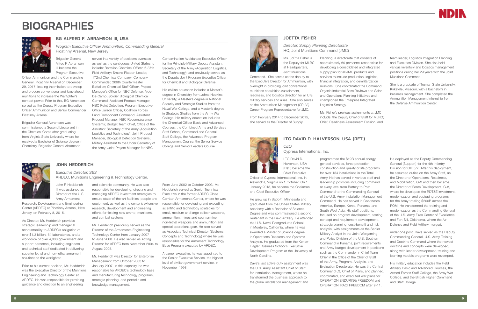## <span id="page-4-0"></span>**BIOGRAPHIES**



#### BG ALFRED F. ABRAMSON III, USA

*Program Executive Officer Ammunition, Commanding General* Picatinny Arsenal, New Jersey

Brigadier General Alfred F. Abramson III became the Program Executive

Officer Ammunition and the Commanding General, Picatinny Arsenal on December 29, 2017, leading the mission to develop and procure conventional and leap-ahead munitions to increase the Warfighter's combat power. Prior to this, BG Abramson served as the Deputy Program Executive Officer Ammunition and Senior Commander Picatinny Arsenal.

Brigadier General Abramson was commissioned a Second Lieutenant in the Chemical Corps after graduating from Virginia State University where he received a Bachelor of Science degree in Chemistry. Brigadier General Abramson

served in a variety of positions overseas

as well as the contiguous United States to include: Battalion Chemical Officer, 6-37th Field Artillery; Smoke Platoon Leader, 172nd Chemical Company; Company Commander, 266th Quartermaster Battalion; Chemical Staff Officer, Project Manager's Office for NBC Defense; Aide-De-Camp, Soldier Biological Chemical Command; Assistant Product Manager, NBC Point Detection; Program Executive Office Liaison Officer, Coalition Forces Land Component Command; Assistant Product Manager, NBC Reconnaissance Systems; Budget Team Chief, Office of the Assistant Secretary of the Army (Acquisition, Logistics and Technology); Joint Product Manager, Biological Detection Systems;

Military Assistant to the Under Secretary of the Army; Joint Project Manager for NBC

Contamination Avoidance; Executive Officer for the Principle Military Deputy Assistant Secretary of the Army (Acquisition Logistics, and Technology); and previously served as the Deputy, Joint Program Executive Officer for Chemical and Biological Defense.

His civilian education includes a Master's degree in Chemistry from Johns Hopkins University, a Master's degree in National Security and Strategic Studies from the Naval War College, and a Master's degree in Strategic Studies from the Army War College. His military education includes the Chemical Officer Basic and Advanced Courses, the Combined Arms and Services Staff School, Command and General Staff College, the Advanced Program Management Course, the Senior Service College and Senior Leaders Course.

#### JOHN HEDDERICH

*Executive Director, SES* ARDEC, Munitions Engineering & Technology Center.

John F. Hedderich III was assigned as Director of the U.S. Army Armament

Research, Development and Engineering Center (ARDEC) at Picatinny Arsenal, New Jersey, on February 8, 2015.

As Director, Mr. Hedderich provides strategic leadership and managerial accountability to ARDEC's obligation of over \$1.3 billion, 64 laboratories, and a workforce of over 4,000 government and support personnel, including engineers and technical staff dedicated in delivering superior lethal and non-lethal armament solutions to the warfighter.

Prior to his current position, Mr. Hedderich was the Executive Director of the Munitions Engineering and Technology Center at ARDEC. He was responsible for providing guidance and direction to an engineering

and scientific community. He was also responsible for developing, directing and managing ARDEC investment strategies to ensure state-of-the-art facilities, people and equipment, as well as the center's extensive research, development and engineering efforts for fielding new ammo, munitions, and combat systems.

Mr. Hedderich previously served as the Director of the Armaments Engineering Technology Center from January 2007 to June 2008. He also served as Acting Director for ARDEC from November 2004 to August 2005.

Mr. Hedderich was Director for Enterprise Management from October 2003 to January 2007. In this capacity, he was responsible for ARDEC's technology base and manufacturing technology programs, strategic planning, and portfolio and knowledge management.

From June 2002 to October 2003, Mr. Hedderich served as Senior Technical Executive in the former ARDEC Close Combat Armaments Center, where he was responsible for developing and executing scientific and technology strategies for small, medium and large caliber weapons, ammunition, mines and countermine, non-lethal weapons and ammunition and special operations gear. He also served as Associate Technical Director (Systems Concepts and Technology) where he was responsible for the Armament Technology Base Program executed by ARDEC.

A career executive, he was appointed to the Senior Executive Service, the highest level of civilian government service, in November 1998.

#### JOETTA FISHER

*Director, Supply Planning Directorate* HQ, Joint Munitions Command (JMC)

Ms. JoEtta Fisher is the Deputy for MLRC at Headquarters, Joint Munitions

Command. She serves as the deputy to the Executive Director for Ammunition, with oversight in providing joint conventional munitions acquisition sustainment, readiness, and logistics direction for all U.S. military services and allies. She also serves as the Ammunition Management (CP-33) Career Program Representative for JMC.

From February 2014 to December 2015, she served as the Director of Supply

Planning, a directorate that consists of approximately 60 personnel responsible for developing a consolidated and integrated supply plan for all JMC products and services to include production, logistics, financial integration, and demilitarization missions. She coordinated the Command Organic Industrial Base Reviews and Sales and Operations Planning Initiatives and championed the Enterprise Integrated

Logistics Strategy.

Ms. Fisher's previous assignments at JMC include: the Deputy Chief of Staff for MLRC; Chief, Readiness Assessment Division; and

team leader, Logistics Integration Planning and Execution Division. She also held various inventory and logistics management positions during her 29 years with the Joint Munitions Command.

She is a graduate of Truman State University, Kirksville, Missouri, with a bachelor's in business management. She completed the Ammunition Management Internship from the Defense Ammunition Center.

#### LTG DAVID D. HALVERSON, USA (RET.)



LTG David D. Halverson, USA (Ret.) became the Chief Executive

Officer of Cypress International, Inc. in Alexandria, Virginia on 1 October. On 1 January 2018, he became the Chairman and Chief Executive Officer.

He grew up in Babbitt, Minnesota and graduated from the United States Military Academy with a Bachelor of Science Degree and was commissioned a second lieutenant in the Field Artillery. He attended the U.S. Naval Postgraduate School in Monterey, California, where he was awarded a Master of Science degree in Operations Research and Systems Analysis. He graduated from the Kenan-Flagler Business School's Executive Development Program at the University of North Carolina.

Dave's last active duty assignment was the U.S. Army Assistant Chief of Staff for Installation Management, where he transformed the business approach to the global installation management and

programmed the \$19B annual energy, general services, force protection, construction and quality of life programs for over 154 installations in the Total Army. He has served in various staff and leadership positions including command at every level from Battery to Post Command to the Commanding General of the U.S. Army Installation Management Command. He has served in Continental America, Europe, Korea, Panama, and South West Asia. His staff positions, focused on program development, testing, concept and requirement development, strategic planning, cost-benefit and risk analysis, with assignments as the Senior Military Analyst in the Joint Wargaming and Policy Division of the U.S. Southern Command in Panama, joint requirements and Army budget development in positions such as the Commander in Chief Team Chief in the Office of the Chief of Staff of the Army, Program, Analysis, and Evaluation Directorate. He was the Central Command J3, Chief of Plans, and planned, coordinated, and executed war plans for OPERATION ENDURING FREEDOM and OPERATION IRAQI FREEDOM after 9-11.



He deployed as the Deputy Commanding General (Support) for the 4th Infantry Division for OIF 5/7. After his deployment, he assumed duties on the Army Staff, as the Director of Operations, Readiness, and Mobilization, G-3 and then became the Director of Force Development, G-8, where he developed the RDT&E investment, modernization and equipping programs for the Army totaling \$200B across the POM. He transformed the training and modernization as the Commanding General of the U.S. Army Fires Center of Excellence and Fort Sill, Oklahoma, where the Air Defense and Field Artillery merged.

under one post. Dave served as the Deputy Commanding General, U.S. Army Training and Doctrine Command where the newest doctrine and concepts were developed, along with leader development, training and learning models programs were revamped.

His military education includes the Field Artillery Basic and Advanced Courses, the Armed Forces Staff College, the Army War College, and the British Higher Command and Staff College.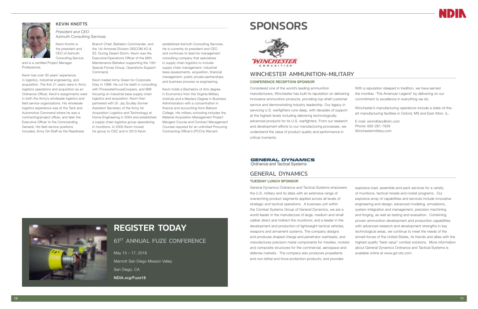<span id="page-5-0"></span>

#### KEVIN KNOTTS

*President and CEO* Azimuth Consulting Services

Kevin Knotts is the president and CEO of Azimuth Consulting Service

and is a certified Project Manager Professional.

Kevin has over 30 years' experience in logistics, industrial engineering, and acquisition. The first 21 years were in Army logistics operations and acquisition as an Ordnance Officer. Kevin's assignments were in both the Army's wholesale logistics and field service organizations. His wholesale logistics experience was at the Tank and Automotive Command where he was a contracting/project officer, and later the Executive Officer to the Commanding General. His field service positions included, Army G4 Staff as the Readiness

Branch Chief, Battalion Commander, and the 1st Armored Division DISCOM XO & S3. During Desert Storm, Kevin was the Executive/Operations Officer of the 66th Maintenance Battalion supporting the 10th Special Forces Group, Operations Support Command.

Kevin traded Army Green for Corporate Grey in 1998. He cut his teeth in consulting with PricewaterhouseCoopers, and IBM focusing on industrial base supply chain logistics and acquisition. Kevin then partnered with Dr. Jay Sculley (former Assistant Secretary of the Army for Acquisition Logistics and Technology) at Horne Engineering in 2004 and established a supply chain logistics group specializing in munitions. In 2005 Kevin moved his group to CSC and in 2013 Kevin

established Azimuth Consulting Services. He is currently its president and CEO and continues to lead his management consulting company that specializes in supply chain logistics to include: supply chain management, industrial base assessments, acquisition, financial management, public private partnerships, and business process re-engineering.

Kevin holds a Bachelors of Arts degree in Economics from the Virginia Military Institute and a Masters Degree in Business Administration with a concentration in finance and accounting from Babson College. His military schooling includes the Materiel Acquisition Management Project Mangers Course and Contract Management Courses required for an unlimited Procuring Contracting Officer's (PCO's) Warrant.

## **SPONSORS**



#### GENERAL DYNAMICS

#### TUESDAY LUNCH SPONSOR

General Dynamics Ordnance and Tactical Systems empowers the U.S. military and its allies with an extensive range of overarching product segments applied across all levels of strategic and tactical operations. A business unit within the Combat Systems Group of General Dynamics, we are a world leader in the manufacture of large, medium and small caliber direct and indirect-fire munitions; and a leader in the development and production of lightweight tactical vehicles, weapons and armament systems. The company designs and produces shaped charge and penetrator warheads; and manufactures precision metal components for missiles, rockets and composite structures for the commercial, aerospace and defense markets. The company also produces propellants and non-lethal and force-protection products; and provides explosive load, assemble and pack services for a variety of munitions, tactical missile and rocket programs. Our explosive array of capabilities and services include innovative engineering and design, advanced modeling, simulations, system integration and management, precision machining and forging, as well as testing and evaluation. Combining proven ammunition development and production capabilities with advanced research and development strengths in key technological areas, we continue to meet the needs of the armed forces of the United States, its friends and allies with the highest quality "best value" combat solutions. More information about General Dynamics Ordnance and Tactical Systems is available online at www.gd-ots.com.



#### WINCHESTER AMMUNITION-MILITARY

#### CONFERENCE RECEPTION SPONSOR

Considered one of the world's leading ammunition manufacturers, Winchester has built its reputation on delivering innovative ammunition products, providing top-shelf customer service and demonstrating industry leadership. Our legacy in servicing U.S. warfighters runs deep, with decades of support at the highest levels including delivering technologically advanced products for its U.S. warfighters. From our research and development efforts to our manufacturing processes, we understand the value of product quality and performance in critical moments.

**GENERAL DYNAMICS** 

Ordnance and Tactical Systems

With a reputation steeped in tradition, we have earned the moniker, 'The American Legend' by delivering on our commitment to excellence in everything we do.

Winchester's manufacturing operations include a state-of-theart manufacturing facilities in Oxford, MS and East Alton, IL.

E-mail: winmilitary@olin.com Phone: 662-281-7929 Winchestermilitary.com

## REGISTER TODAY

**61ST ANNUAL FUZE CONFERENCE** 

May 15 – 17, 2018 Marriott San Diego Mission Valley San Diego, CA NDIA.org/Fuze18

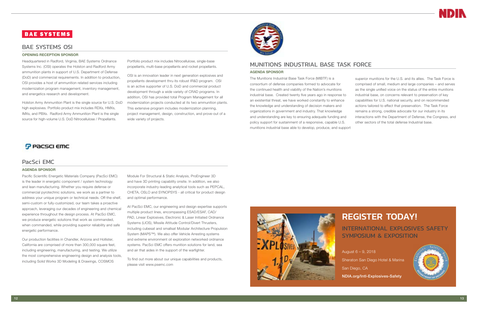## **BAE SYSTEMS**

#### BAE SYSTEMS OSI

#### OPENING RECEPTION SPONSOR

Headquartered in Radford, Virginia, BAE Systems Ordnance Systems Inc. (OSI) operates the Holston and Radford Army ammunition plants in support of U.S. Department of Defense (DoD) and commercial requirements. In addition to production, OSI provides a host of ammunition related services including modernization program management, inventory management, and energetics research and development.

Holston Army Ammunition Plant is the single source for U.S. DoD high explosives. Portfolio product mix includes RDXs, HMXs, IMXs, and PBXs. Radford Army Ammunition Plant is the single source for high-volume U.S. DoD Nitrocellulose / Propellants.

Portfolio product mix includes Nitrocellulose, single-base propellants, multi-base propellants and rocket propellants.

OSI is an innovation leader in next generation explosives and propellants development thru its robust IR&D program. OSI is an active supporter of U.S. DoD and commercial product development through a wide variety of CRAD programs. In addition, OSI has provided total Program Management for all modernization projects conducted at its two ammunition plants. This extensive program includes modernization planning, project management, design, construction, and prove-out of a wide variety of projects.



#### PacSci EMC

#### AGENDA SPONSOR

Pacific Scientific Energetic Materials Company (PacSci EMC) is the leader in energetic component / system technology and lean manufacturing. Whether you require defense or commercial pyrotechnic solutions, we work as a partner to address your unique program or technical needs. Off-the-shelf, semi-custom or fully-customized, our team takes a proactive approach, leveraging our decades of engineering and chemical experience throughout the design process. At PacSci EMC, we produce energetic solutions that work as commanded, when commanded, while providing superior reliability and safe energetic performance.

Our production facilities in Chandler, Arizona and Hollister, California are comprised of more than 300,000 square feet, including engineering, manufacturing, and testing. We utilize the most comprehensive engineering design and analysis tools, including Solid Works 3D Modeling & Drawings, COSMOS

Module For Structural & Static Analysis, ProEngineer 3D and have 3D printing capability onsite. In addition, we also incorporate industry-leading analytical tools such as PEPCAL, CHETA, OSLO and SYNOPSYS - all critical for product design and optimal performance.

At PacSci EMC, our engineering and design expertise supports multiple product lines, encompassing ESAD/ESAF, CAD/ PAD, Linear Explosives, Electronic & Laser Initiated Ordnance Systems (LIOS), Missile Attitude Control/Divert Thrusters, including cubesat and smallsat Modular Architecture Propulsion System (MAPS™). We also offer Vehicle Arresting systems and extreme environment oil exploration networked ordnance systems. PacSci EMC offers munition solutions for land, sea and air that aides in the support of the warfighter.

To find out more about our unique capabilities and products, please visit www.psemc.com





#### MUNITIONS INDUSTRIAL BASE TASK FORCE

#### AGENDA SPONSOR

The Munitions Industrial Base Task Force (MIBTF) is a consortium of defense companies formed to advocate for the continued health and viability of the Nation's munitions industrial base. Created twenty five years ago in response to an existential threat, we have worked constantly to enhance the knowledge and understanding of decision makers and organizations in government and industry. That knowledge and understanding are key to ensuring adequate funding and policy support for sustainment of a responsive, capable U.S. munitions industrial base able to develop, produce, and support

## **P** Pacsci Emc

superior munitions for the U.S. and its allies. The Task Force is comprised of small, medium and large companies – and serves as the single unified voice on the status of the entire munitions industrial base, on concerns relevant to preservation of key capabilities for U.S. national security, and on recommended actions tailored to effect that preservation. The Task Force remains a strong, credible advocate for our industry in its interactions with the Department of Defense, the Congress, and other sectors of the total defense Industrial base.

## REGISTER TODAY!

INTERNATIONAL EXPLOSIVES SAFETY SYMPOSIUM & EXPOSITION

August 6 – 9, 2018 Sheraton San Diego Hotel & Marina San Diego, CA NDIA.org/Intl-Explosives-Safety

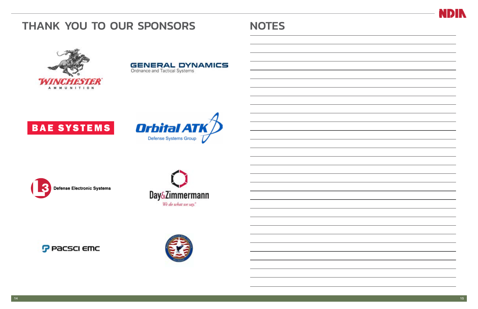# <span id="page-7-0"></span>THANK YOU TO OUR SPONSORS NOTES **GENERAL DYNAMICS** Ordnance and Tactical Systems A M M U N I T I O N **Orbital ATK BAE SYSTEMS** Defense Systems Group **Defense Electronic Systems** Day&Zimmermann We do what we say." **P** Pacsci emc



|  | ۰  |
|--|----|
|  | ä, |
|  | ä, |
|  | ۰  |
|  |    |
|  |    |
|  |    |
|  |    |
|  |    |